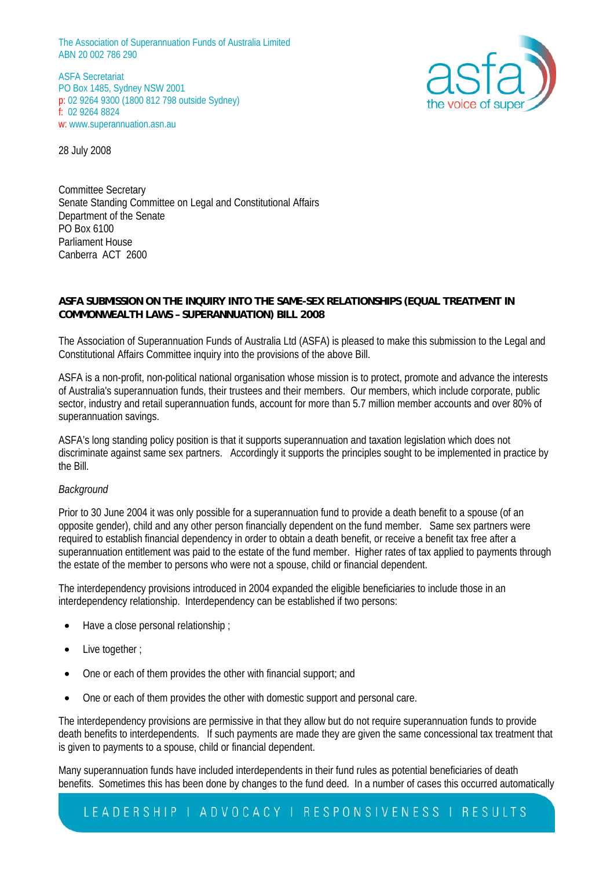ASFA Secretariat PO Box 1485, Sydney NSW 2001 p: 02 9264 9300 (1800 812 798 outside Sydney) f: 02 9264 8824 w: www.superannuation.asn.au



28 July 2008

Committee Secretary Senate Standing Committee on Legal and Constitutional Affairs Department of the Senate PO Box 6100 Parliament House Canberra ACT 2600

# **ASFA SUBMISSION ON THE INQUIRY INTO THE SAME-SEX RELATIONSHIPS (EQUAL TREATMENT IN COMMONWEALTH LAWS – SUPERANNUATION) BILL 2008**

The Association of Superannuation Funds of Australia Ltd (ASFA) is pleased to make this submission to the Legal and Constitutional Affairs Committee inquiry into the provisions of the above Bill.

ASFA is a non-profit, non-political national organisation whose mission is to protect, promote and advance the interests of Australia's superannuation funds, their trustees and their members. Our members, which include corporate, public sector, industry and retail superannuation funds, account for more than 5.7 million member accounts and over 80% of superannuation savings.

ASFA's long standing policy position is that it supports superannuation and taxation legislation which does not discriminate against same sex partners. Accordingly it supports the principles sought to be implemented in practice by the Bill.

## *Background*

Prior to 30 June 2004 it was only possible for a superannuation fund to provide a death benefit to a spouse (of an opposite gender), child and any other person financially dependent on the fund member. Same sex partners were required to establish financial dependency in order to obtain a death benefit, or receive a benefit tax free after a superannuation entitlement was paid to the estate of the fund member. Higher rates of tax applied to payments through the estate of the member to persons who were not a spouse, child or financial dependent.

The interdependency provisions introduced in 2004 expanded the eligible beneficiaries to include those in an interdependency relationship. Interdependency can be established if two persons:

- Have a close personal relationship ;
- Live together :
- One or each of them provides the other with financial support; and
- One or each of them provides the other with domestic support and personal care.

The interdependency provisions are permissive in that they allow but do not require superannuation funds to provide death benefits to interdependents. If such payments are made they are given the same concessional tax treatment that is given to payments to a spouse, child or financial dependent.

Many superannuation funds have included interdependents in their fund rules as potential beneficiaries of death benefits. Sometimes this has been done by changes to the fund deed. In a number of cases this occurred automatically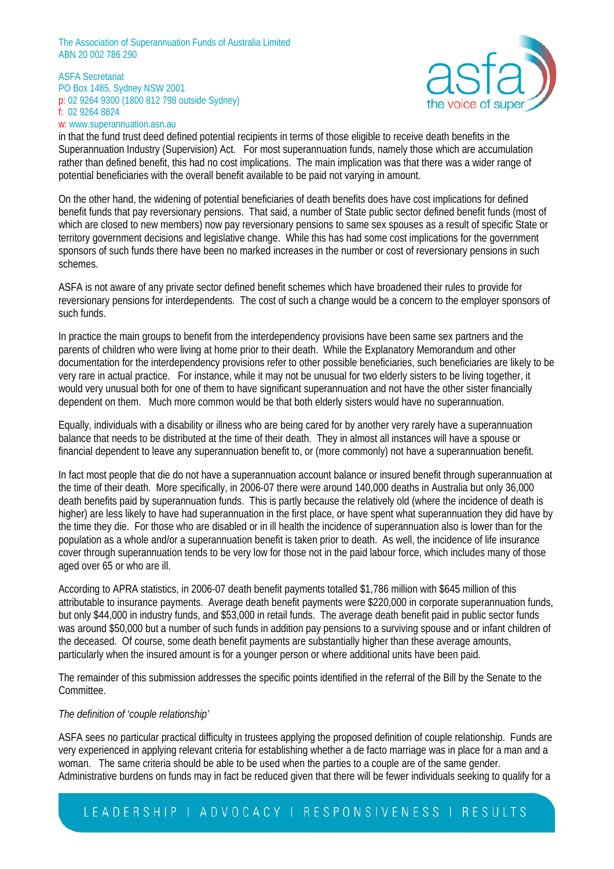#### ASFA Secretariat PO Box 1485, Sydney NSW 2001 p: 02 9264 9300 (1800 812 798 outside Sydney) f: 02 9264 8824 w: www.superannuation.asn.au



in that the fund trust deed defined potential recipients in terms of those eligible to receive death benefits in the Superannuation Industry (Supervision) Act. For most superannuation funds, namely those which are accumulation rather than defined benefit, this had no cost implications. The main implication was that there was a wider range of potential beneficiaries with the overall benefit available to be paid not varying in amount.

On the other hand, the widening of potential beneficiaries of death benefits does have cost implications for defined benefit funds that pay reversionary pensions. That said, a number of State public sector defined benefit funds (most of which are closed to new members) now pay reversionary pensions to same sex spouses as a result of specific State or territory government decisions and legislative change. While this has had some cost implications for the government sponsors of such funds there have been no marked increases in the number or cost of reversionary pensions in such schemes.

ASFA is not aware of any private sector defined benefit schemes which have broadened their rules to provide for reversionary pensions for interdependents. The cost of such a change would be a concern to the employer sponsors of such funds.

In practice the main groups to benefit from the interdependency provisions have been same sex partners and the parents of children who were living at home prior to their death. While the Explanatory Memorandum and other documentation for the interdependency provisions refer to other possible beneficiaries, such beneficiaries are likely to be very rare in actual practice. For instance, while it may not be unusual for two elderly sisters to be living together, it would very unusual both for one of them to have significant superannuation and not have the other sister financially dependent on them. Much more common would be that both elderly sisters would have no superannuation.

Equally, individuals with a disability or illness who are being cared for by another very rarely have a superannuation balance that needs to be distributed at the time of their death. They in almost all instances will have a spouse or financial dependent to leave any superannuation benefit to, or (more commonly) not have a superannuation benefit.

In fact most people that die do not have a superannuation account balance or insured benefit through superannuation at the time of their death. More specifically, in 2006-07 there were around 140,000 deaths in Australia but only 36,000 death benefits paid by superannuation funds. This is partly because the relatively old (where the incidence of death is higher) are less likely to have had superannuation in the first place, or have spent what superannuation they did have by the time they die. For those who are disabled or in ill health the incidence of superannuation also is lower than for the population as a whole and/or a superannuation benefit is taken prior to death. As well, the incidence of life insurance cover through superannuation tends to be very low for those not in the paid labour force, which includes many of those aged over 65 or who are ill.

According to APRA statistics, in 2006-07 death benefit payments totalled \$1,786 million with \$645 million of this attributable to insurance payments. Average death benefit payments were \$220,000 in corporate superannuation funds, but only \$44,000 in industry funds, and \$53,000 in retail funds. The average death benefit paid in public sector funds was around \$50,000 but a number of such funds in addition pay pensions to a surviving spouse and or infant children of the deceased. Of course, some death benefit payments are substantially higher than these average amounts, particularly when the insured amount is for a younger person or where additional units have been paid.

The remainder of this submission addresses the specific points identified in the referral of the Bill by the Senate to the Committee.

## *The definition of 'couple relationship'*

ASFA sees no particular practical difficulty in trustees applying the proposed definition of couple relationship. Funds are very experienced in applying relevant criteria for establishing whether a de facto marriage was in place for a man and a woman. The same criteria should be able to be used when the parties to a couple are of the same gender. Administrative burdens on funds may in fact be reduced given that there will be fewer individuals seeking to qualify for a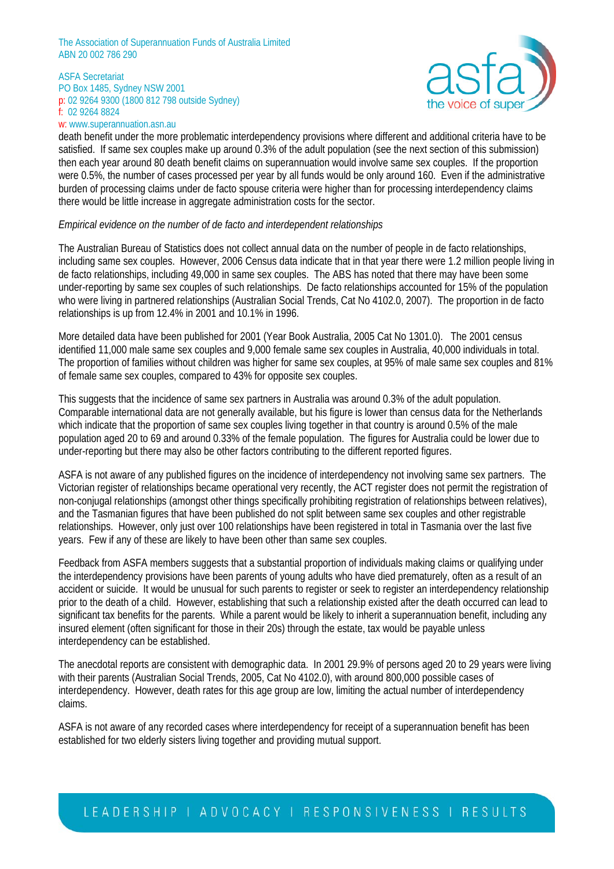#### ASFA Secretariat PO Box 1485, Sydney NSW 2001 p: 02 9264 9300 (1800 812 798 outside Sydney) f: 02 9264 8824 w: www.superannuation.asn.au



death benefit under the more problematic interdependency provisions where different and additional criteria have to be satisfied. If same sex couples make up around 0.3% of the adult population (see the next section of this submission) then each year around 80 death benefit claims on superannuation would involve same sex couples. If the proportion were 0.5%, the number of cases processed per year by all funds would be only around 160. Even if the administrative burden of processing claims under de facto spouse criteria were higher than for processing interdependency claims there would be little increase in aggregate administration costs for the sector.

### *Empirical evidence on the number of de facto and interdependent relationships*

The Australian Bureau of Statistics does not collect annual data on the number of people in de facto relationships, including same sex couples. However, 2006 Census data indicate that in that year there were 1.2 million people living in de facto relationships, including 49,000 in same sex couples. The ABS has noted that there may have been some under-reporting by same sex couples of such relationships. De facto relationships accounted for 15% of the population who were living in partnered relationships (Australian Social Trends, Cat No 4102.0, 2007). The proportion in de facto relationships is up from 12.4% in 2001 and 10.1% in 1996.

More detailed data have been published for 2001 (Year Book Australia, 2005 Cat No 1301.0). The 2001 census identified 11,000 male same sex couples and 9,000 female same sex couples in Australia, 40,000 individuals in total. The proportion of families without children was higher for same sex couples, at 95% of male same sex couples and 81% of female same sex couples, compared to 43% for opposite sex couples.

This suggests that the incidence of same sex partners in Australia was around 0.3% of the adult population. Comparable international data are not generally available, but his figure is lower than census data for the Netherlands which indicate that the proportion of same sex couples living together in that country is around 0.5% of the male population aged 20 to 69 and around 0.33% of the female population. The figures for Australia could be lower due to under-reporting but there may also be other factors contributing to the different reported figures.

ASFA is not aware of any published figures on the incidence of interdependency not involving same sex partners. The Victorian register of relationships became operational very recently, the ACT register does not permit the registration of non-conjugal relationships (amongst other things specifically prohibiting registration of relationships between relatives), and the Tasmanian figures that have been published do not split between same sex couples and other registrable relationships. However, only just over 100 relationships have been registered in total in Tasmania over the last five years. Few if any of these are likely to have been other than same sex couples.

Feedback from ASFA members suggests that a substantial proportion of individuals making claims or qualifying under the interdependency provisions have been parents of young adults who have died prematurely, often as a result of an accident or suicide. It would be unusual for such parents to register or seek to register an interdependency relationship prior to the death of a child. However, establishing that such a relationship existed after the death occurred can lead to significant tax benefits for the parents. While a parent would be likely to inherit a superannuation benefit, including any insured element (often significant for those in their 20s) through the estate, tax would be payable unless interdependency can be established.

The anecdotal reports are consistent with demographic data. In 2001 29.9% of persons aged 20 to 29 years were living with their parents (Australian Social Trends, 2005, Cat No 4102.0), with around 800,000 possible cases of interdependency. However, death rates for this age group are low, limiting the actual number of interdependency claims.

ASFA is not aware of any recorded cases where interdependency for receipt of a superannuation benefit has been established for two elderly sisters living together and providing mutual support.